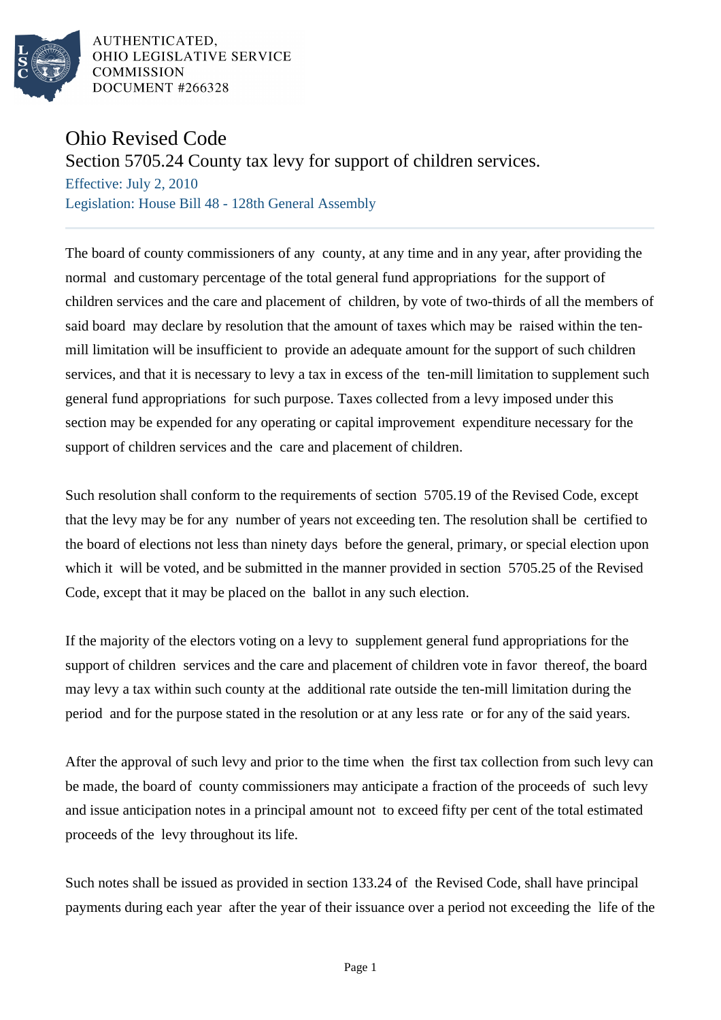

AUTHENTICATED, OHIO LEGISLATIVE SERVICE **COMMISSION** DOCUMENT #266328

## Ohio Revised Code

Section 5705.24 County tax levy for support of children services.

Effective: July 2, 2010 Legislation: House Bill 48 - 128th General Assembly

The board of county commissioners of any county, at any time and in any year, after providing the normal and customary percentage of the total general fund appropriations for the support of children services and the care and placement of children, by vote of two-thirds of all the members of said board may declare by resolution that the amount of taxes which may be raised within the tenmill limitation will be insufficient to provide an adequate amount for the support of such children services, and that it is necessary to levy a tax in excess of the ten-mill limitation to supplement such general fund appropriations for such purpose. Taxes collected from a levy imposed under this section may be expended for any operating or capital improvement expenditure necessary for the support of children services and the care and placement of children.

Such resolution shall conform to the requirements of section 5705.19 of the Revised Code, except that the levy may be for any number of years not exceeding ten. The resolution shall be certified to the board of elections not less than ninety days before the general, primary, or special election upon which it will be voted, and be submitted in the manner provided in section 5705.25 of the Revised Code, except that it may be placed on the ballot in any such election.

If the majority of the electors voting on a levy to supplement general fund appropriations for the support of children services and the care and placement of children vote in favor thereof, the board may levy a tax within such county at the additional rate outside the ten-mill limitation during the period and for the purpose stated in the resolution or at any less rate or for any of the said years.

After the approval of such levy and prior to the time when the first tax collection from such levy can be made, the board of county commissioners may anticipate a fraction of the proceeds of such levy and issue anticipation notes in a principal amount not to exceed fifty per cent of the total estimated proceeds of the levy throughout its life.

Such notes shall be issued as provided in section 133.24 of the Revised Code, shall have principal payments during each year after the year of their issuance over a period not exceeding the life of the